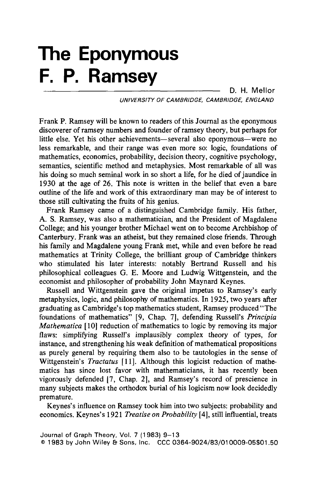## **The Eponymous F. P. Ramsey**

D. H. Mellor *UNIVERSITY OF CAMBRIDGE, CAMBRIDGE, ENGLAND* 

Frank P. Ramsey will be known to readers of this Journal as the eponymous discoverer of ramsey numbers and founder of ramsey theory, but perhaps for little else. Yet his other achievements-several also eponymous-were no less remarkable, and their range was even more so: logic, foundations of mathematics, economics, probability, decision theory, cognitive psychology, semantics, scientific method and metaphysics. Most remarkable of all was his doing so much seminal work in so short a life, for he died of jaundice in 1930 at the age of 26. This note is written in the belief that even a bare outline of the life and work of this extraordinary man may be of interest to those still cultivating the fruits of his genius.

Frank Ramsey came of a distinguished Cambridge family. His father, **A.** *S.* Ramsey, was also a mathematician, and the President of Magdalene College; and his younger brother Michael went on to become Archbishop of Canterbury. Frank **was** an atheist, but they remained close friends. Through his family and Magdalene young Frank met, while and even before he read mathematics at Trinity College, the brilliant group of Cambridge thinkers who stimulated his later interests: notably Bertrand Russell and his philosophical colleagues G. **E.** Moore and Ludwig Wittgenstein, and the economist and philosopher of probability John Maynard Keynes.

Russell and Wittgenstein gave the original impetus to Ramsey's early metaphysics, logic, and philosophy of mathematics. In 1925, two years after graduating as Cambridge's top mathematics student, Ramsey produced "The foundations of mathematics" [ 9, Chap. **71,** defending Russell's *Principia Mathematica* [ 101 reduction of mathematics to logic by removing its major flaws: simplifying Russell's implausibly complex theory of types, for instance, and strengthening his weak definition of mathematical propositions as purely general by requiring them also to be tautologies in the sense of Wittgenstein's *Tractatus* [11]. Although this logicist reduction of mathematics has since lost favor with mathematicians, it has recently been vigorously defended **17,** Chap. **21,** and Ramsey's record of prescience in many subjects makes the orthodox burial of his logicism now look decidedly premature.

Keynes's influence on Ramsey took him into two subjects: probability and economics. Keynes's 1921 *Treatise on Probability* **[4],** still influential, treats

**Journal** of **Graph** Theory, Vol. **7 (1 983) 9-1 3**  @ **1983 by John Wiley** *8* **Sons, Inc. CCC 0364-9024/83/010009-05\$01.50**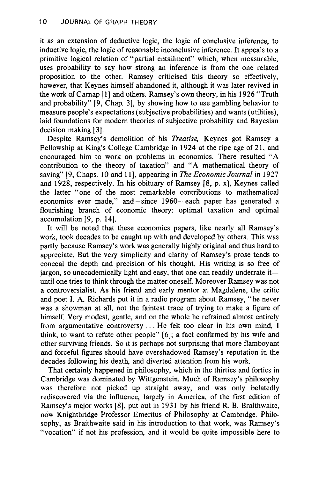it **as** an extension of deductive logic, the logic of conclusive inference, to inductive logic, the logic of reasonable inconclusive inference. It appeals to a primitive logical relation of "partial entailment" which, when measurable, uses probability to say how strong an inference is from the one related proposition to the other. Ramsey criticised this theory so effectively, however, that Keynes himself abandoned it, although it was later revived in the work of Carnap [1] and others. Ramsey's own theory, in his 1926 "Truth and probability" [9, Chap. **31,** by showing how to use gambling behavior to measure people's expectations (subjective probabilities) and wants (utilities), laid foundations for modem theories of subjective probability and Bayesian decision making [ **31.** 

Despite Ramsey's demolition of his *Treatise,* Keynes got Ramsey a Fellowship at King's College Cambridge in 1924 at the ripe age of 21, and encouraged him to work on problems in economics. There resulted "A contribution to the theory of taxation" and **"A** mathematical theory of saving" [9, Chaps. 10 and **111,** appearing in *The Economic Journd* in 1927 and 1928, respectively. In his obituary of Ramsey [8, p. XI, Keynes called the latter "one of the most remarkable contributions to mathematical economics ever made," and-since 1960-each paper has generated a flourishing branch of economic theory: optimal taxation and optimal accumulation [9, p. **141.** 

It will be noted that these economics papers, like nearly all Ramsey's work, took decades to be caught up with and developed by others. This was partly because Ramsey's work was generally highly original and thus hard to appreciate. But the very simplicity and clarity of Ramsey's prose tends to conceal the depth and precision of his thought. His writing is so free of jargon, so unacademically light and easy, that one can readily underrate ituntil one tries to think through the matter oneself. Moreover Ramsey was not a controversialist. As his friend and early mentor at Magdalene, the critic and poet **I. A.** Richards put it in a radio program about Ramsey, "he never was a showman at all, not the faintest trace of trying to make a figure of himself. Very modest, gentle, and on the whole he refrained almost entirely from argumentative controversy.. . He felt too clear in his own mind, **I**  think, to want to refute other people" *[6];* a fact confirmed by his wife and other surviving friends. *So* it is perhaps not surprising that more flamboyant and forceful figures should have overshadowed Ramsey's reputation in the decades following his death, and diverted attention from his work.

That certainly happened in philosophy, which in the thirties and forties in Cambridge was dominated by Wittgenstein. Much of Ramsey's philosophy was therefore not picked up straight away, and was only belatedly rediscovered via the influence, largely in America, of the first edition of Ramsey's major works 181, put out in 1931 by his friend R B. Braithwaite, now Knightbridge Professor Emeritus of Philosophy at Cambridge. Phil6 sophy, as Braithwaite said in his introduction to that work, was Ramsey's "vocation" if not his profession, and it would be quite impossible here to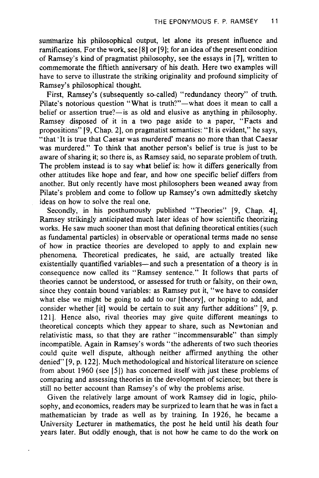summarize his philosophical output, let alone its present influence and ramifications. For the work, see [8] or [9]; for an idea of the present condition of Ramsey's kind of pragmatist philosophy, see the essays in [ **71,** written to commemorate the fiftieth anniversary of his death. Here two examples will have to serve to illustrate the striking originality and profound simplicity of Ramsey's philosophical thought.

First, Ramsey's (subsequently so-called) "redundancy theory" of truth. Pilate's notorious question "What is truth?"-what does it mean to call a belief or assertion true? $-$  is as old and elusive as anything in philosophy. Ramsey disposed of it in a two page aside to a paper, "Facts and propositions" 19, Chap. 21, on pragmatist semantics: "It is evident," he says, "that 'It is true that Caesar was murdered' means no more than that Caesar was murdered." To think that another person's belief is true is just to be aware of sharing it; so there is, as Ramsey said, no separate problem of truth. The problem instead is to say what belief is: how it differs generically from other attitudes like hope and fear, and how one specific belief differs from another. But only recently have most philosophers been weaned away from Pilate's problem and come to follow up Ramsev's own admittedly sketchy ideas on how to solve the real one.

Secondly, in his posthumously published "Theories" [9, Chap. 4], Ramsey strikingly anticipated much later ideas of how scientific theorizing works. He saw much sooner than nost that defining theoretical entities (such as fundamental particles) in observable or operational terms made no sense of how in practice theories are developed to apply to and explain new phenomena. Theoretical predicates, he said, are actually treated like existentially quantified variables—and such a presentation of a theory is in consequence now called its "Ramsey sentence." It follows that parts of theories cannot be understood, or assessed for truth or falsity, on their own, since they contain bound variables: as Ramsey put it, "we have to consider what else we might be going to add to our [theoryj, or hoping to add, and consider whether [it] would be certain to suit any further additions" [9, p. 1211. Hence also, rival theories may give quite different meanings to theoretical concepts which they appear to share, such as Newtonian and relativistic mass, so that they are rather "incommensurable" than simply incompatible. Again in Ramsey's words "the adherents of two such theories could quite well dispute, although neither affirmed anything the other denied' [9, p. 1221. Much methodological and historical literature on science from about 1960 (see **151)** has concerned itself with just these problems of comparing and assessing theories in the development of science; but there is still no better account than Ramsey's of why the problems arise.

Given the relatively large amount of work Ramsey did in logic, philosophy, and economics, readers may be surprized to learn that he was in fact a mathematician by trade as well as by training. In 1926, he became a University Lecturer in mathematics, the post he held until his death four years later. But oddly enough, that is not how he came to do the work on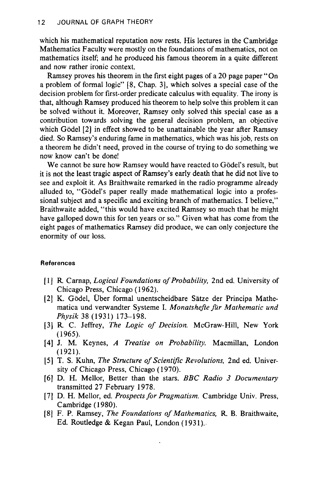which his mathematical reputation now rests. His lectures in the Cambridge Mathematics Faculty were mostly on the foundations of mathematics, not on mathematics itself; and he produced his famous theorem in a quite different and now rather ironic context.

Ramsey proves his theorem in the first eight pages of a **20** page paper "On a problem of formal logic" **[8,** Chap. **31,** which solves **a** special case of the decision problem for first-order predicate calculus with equality. The irony is that, although Ramsey produced his theorem to help solve this problem it can be solved without it. Moreover, Ramsey only solved this special case as a contribution towards solving the general decision problem, an objective which Godel [2] in effect showed to be unattainable the year after Ramsey died. *So* Ramsey's enduring fame in mathematics, which was his job, rests on a theorem he didn't need, proved in the course of trying to do something we now know can't be done!

We cannot be sure how Ramsey would have reacted to Godel's result, but it is not the least tragic aspect of Ramsey's early death that he did not live to see and exploit it. **As** Braithwaite remarked in the radio programme already alluded to, "Godel's paper really made mathematical logic into a professional subject and a specific and exciting branch of mathematics. I believe," Braithwaite added, "this would have excited Ramsey so much that he might have galloped down this for ten years or so." Given what has come from the eight pages of mathematics Ramsey did produce, we can only conjecture the enormity of our loss.

## **References**

- R Carnap, *Logical Foundations of Probability,* 2nd ed. University of Chicago Press, Chicago (1962).
- [2] K. Gödel, Uber formal unentscheidbare Sätze der Principa Mathematica und verwandter Systeme I. *Monatshefte fur Mathematic und Physik* **38 (1931) 173-198.**
- **R** C. Jeffrey, *The Logic of Decision.* McGraw-Hill, New York **(1 965).**
- J. M. Keynes, *A Treatise on Probability.* Macmillan, London **(1921).**
- T. **S.** Kuhn, *The Structure of Scientific Revolutions,* 2nd ed. University of Chicago Press, Chicago **(1970).**
- D. H. Mellor, Better than the stars. *BBC Radio 3 Documentary*  transmitted *27* February **1978.**
- D. H. Mellor, ed. *Prospects for Pragmatism.* Cambridge Univ. Press, Cambridge (1 **980).**
- F. P. Ramsey, *The Foundations of Mathematics,* R B. Braithwaite, Ed. Routledge & Kegan Paul, London ( **193 1).**